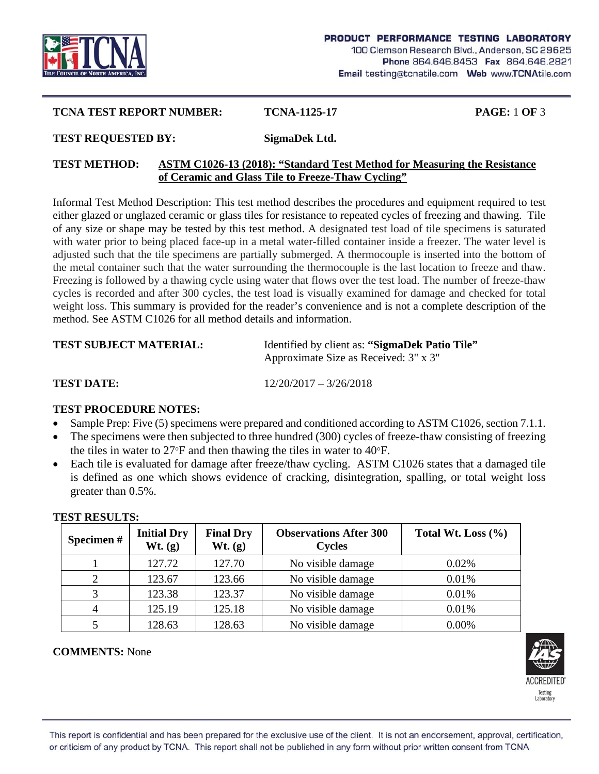

# **TCNA TEST REPORT NUMBER: TCNA-1125-17 PAGE:** 1 **OF** 3

#### **TEST REQUESTED BY: SigmaDek Ltd.**

### **TEST METHOD: ASTM C1026-13 (2018): "Standard Test Method for Measuring the Resistance of Ceramic and Glass Tile to Freeze-Thaw Cycling"**

Informal Test Method Description: This test method describes the procedures and equipment required to test either glazed or unglazed ceramic or glass tiles for resistance to repeated cycles of freezing and thawing. Tile of any size or shape may be tested by this test method. A designated test load of tile specimens is saturated with water prior to being placed face-up in a metal water-filled container inside a freezer. The water level is adjusted such that the tile specimens are partially submerged. A thermocouple is inserted into the bottom of the metal container such that the water surrounding the thermocouple is the last location to freeze and thaw. Freezing is followed by a thawing cycle using water that flows over the test load. The number of freeze-thaw cycles is recorded and after 300 cycles, the test load is visually examined for damage and checked for total weight loss. This summary is provided for the reader's convenience and is not a complete description of the method. See ASTM C1026 for all method details and information.

| <b>TEST SUBJECT MATERIAL:</b> | Identified by client as: "SigmaDek Patio Tile"<br>Approximate Size as Received: 3" x 3" |  |
|-------------------------------|-----------------------------------------------------------------------------------------|--|
| <b>TEST DATE:</b>             | $12/20/2017 - 3/26/2018$                                                                |  |

### **TEST PROCEDURE NOTES:**

- Sample Prep: Five (5) specimens were prepared and conditioned according to ASTM C1026, section 7.1.1.
- The specimens were then subjected to three hundred (300) cycles of freeze-thaw consisting of freezing the tiles in water to  $27^{\circ}$ F and then thawing the tiles in water to  $40^{\circ}$ F.
- Each tile is evaluated for damage after freeze/thaw cycling. ASTM C1026 states that a damaged tile is defined as one which shows evidence of cracking, disintegration, spalling, or total weight loss greater than 0.5%.

| Specimen# | <b>Initial Dry</b><br>Wt. (g) | <b>Final Dry</b><br>Wt. (g) | <b>Observations After 300</b><br><b>Cycles</b> | Total Wt. Loss $(\% )$ |
|-----------|-------------------------------|-----------------------------|------------------------------------------------|------------------------|
|           | 127.72                        | 127.70                      | No visible damage                              | 0.02%                  |
| 2         | 123.67                        | 123.66                      | No visible damage                              | 0.01%                  |
|           | 123.38                        | 123.37                      | No visible damage                              | 0.01%                  |
|           | 125.19                        | 125.18                      | No visible damage                              | 0.01%                  |
|           | 128.63                        | 128.63                      | No visible damage                              | 0.00%                  |

#### **TEST RESULTS:**

### **COMMENTS:** None

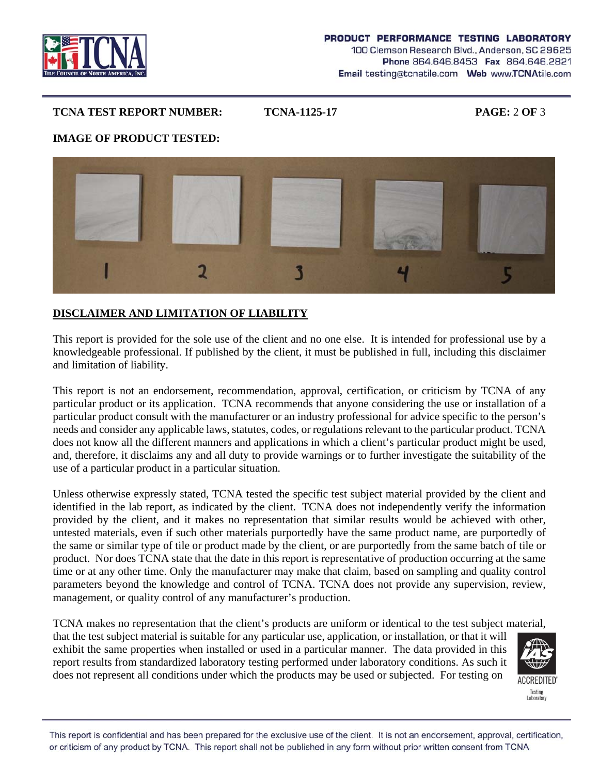

### **TCNA TEST REPORT NUMBER: TCNA-1125-17 PAGE:** 2 **OF** 3

## **IMAGE OF PRODUCT TESTED:**



# **DISCLAIMER AND LIMITATION OF LIABILITY**

This report is provided for the sole use of the client and no one else. It is intended for professional use by a knowledgeable professional. If published by the client, it must be published in full, including this disclaimer and limitation of liability.

This report is not an endorsement, recommendation, approval, certification, or criticism by TCNA of any particular product or its application. TCNA recommends that anyone considering the use or installation of a particular product consult with the manufacturer or an industry professional for advice specific to the person's needs and consider any applicable laws, statutes, codes, or regulations relevant to the particular product. TCNA does not know all the different manners and applications in which a client's particular product might be used, and, therefore, it disclaims any and all duty to provide warnings or to further investigate the suitability of the use of a particular product in a particular situation.

Unless otherwise expressly stated, TCNA tested the specific test subject material provided by the client and identified in the lab report, as indicated by the client. TCNA does not independently verify the information provided by the client, and it makes no representation that similar results would be achieved with other, untested materials, even if such other materials purportedly have the same product name, are purportedly of the same or similar type of tile or product made by the client, or are purportedly from the same batch of tile or product. Nor does TCNA state that the date in this report is representative of production occurring at the same time or at any other time. Only the manufacturer may make that claim, based on sampling and quality control parameters beyond the knowledge and control of TCNA. TCNA does not provide any supervision, review, management, or quality control of any manufacturer's production.

TCNA makes no representation that the client's products are uniform or identical to the test subject material, that the test subject material is suitable for any particular use, application, or installation, or that it will exhibit the same properties when installed or used in a particular manner. The data provided in this report results from standardized laboratory testing performed under laboratory conditions. As such it does not represent all conditions under which the products may be used or subjected. For testing on



**ACCREDITED** Testing Laborator